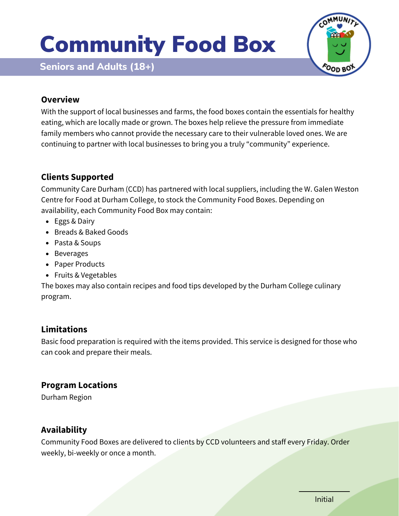# Community Food Box





#### **Overview**

With the support of local businesses and farms, the food boxes contain the essentials for healthy eating, which are locally made or grown. The boxes help relieve the pressure from immediate family members who cannot provide the necessary care to their vulnerable loved ones. We are continuing to partner with local businesses to bring you a truly "community" experience.

## **Clients Supported**

Community Care Durham (CCD) has partnered with local suppliers, including the W. Galen Weston Centre for Food at Durham College, to stock the Community Food Boxes. Depending on availability, each Community Food Box may contain:

- Eggs & Dairy
- Breads & Baked Goods
- Pasta & Soups
- Beverages
- Paper Products
- Fruits & Vegetables

The boxes may also contain recipes and food tips developed by the Durham College culinary program.

## **Limitations**

Basic food preparation is required with the items provided. This service is designed for those who can cook and prepare their meals.

#### **Program Locations**

Durham Region

## **Availability**

Community Food Boxes are delivered to clients by CCD volunteers and staff every Friday. Order weekly, bi-weekly or once a month.

Initial